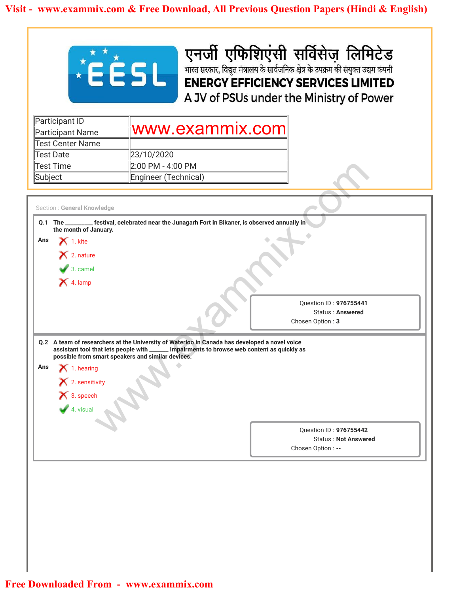

| Participant ID<br>Participant Name | www.exammix.comi     |
|------------------------------------|----------------------|
| Test Center Name                   |                      |
| Test Date                          | 23/10/2020           |
| Test Time                          | 2:00 PM - 4:00 PM    |
| Subject                            | Engineer (Technical) |

|                                                                                                                              | <b>EÉSL</b>                                                                                                                                                                                                                                       | एनर्जी एफिशिएंसी सर्विसेज लिमिटेड<br>भारत सरकार, विद्युत मंत्रालय के सार्वजनिक क्षेत्र के उपक्रम की संयुक्त उद्यम कंपनी<br><b>ENERGY EFFICIENCY SERVICES LIMITED</b><br>A JV of PSUs under the Ministry of Power |
|------------------------------------------------------------------------------------------------------------------------------|---------------------------------------------------------------------------------------------------------------------------------------------------------------------------------------------------------------------------------------------------|------------------------------------------------------------------------------------------------------------------------------------------------------------------------------------------------------------------|
| Participant ID                                                                                                               | www.exammix.com                                                                                                                                                                                                                                   |                                                                                                                                                                                                                  |
| Participant Name<br><b>Test Center Name</b>                                                                                  |                                                                                                                                                                                                                                                   |                                                                                                                                                                                                                  |
| <b>Test Date</b>                                                                                                             | 23/10/2020                                                                                                                                                                                                                                        |                                                                                                                                                                                                                  |
| <b>Test Time</b>                                                                                                             | 2:00 PM - 4:00 PM                                                                                                                                                                                                                                 |                                                                                                                                                                                                                  |
| Subject                                                                                                                      | Engineer (Technical)                                                                                                                                                                                                                              |                                                                                                                                                                                                                  |
|                                                                                                                              |                                                                                                                                                                                                                                                   |                                                                                                                                                                                                                  |
| the month of January.<br>$\mathsf{X}$ 1. kite<br>Ans<br>$\mathsf{\times}$ 2. nature<br>$\bullet$ 3. camel                    | Q.1 The _________ festival, celebrated near the Junagarh Fort in Bikaner, is observed annually in                                                                                                                                                 |                                                                                                                                                                                                                  |
| $\bigtimes$ 4. lamp                                                                                                          |                                                                                                                                                                                                                                                   | Question ID: 976755441<br><b>Status: Answered</b><br>Chosen Option: 3                                                                                                                                            |
| Section : General Knowledge<br>Ans<br>$\blacktriangleright$ 1. hearing<br>X 2. sensitivity<br>$\frac{1}{\sqrt{2}}$ 3. speech | Q.2 A team of researchers at the University of Waterloo in Canada has developed a novel voice<br>assistant tool that lets people with ______ impairments to browse web content as quickly as<br>possible from smart speakers and similar devices. |                                                                                                                                                                                                                  |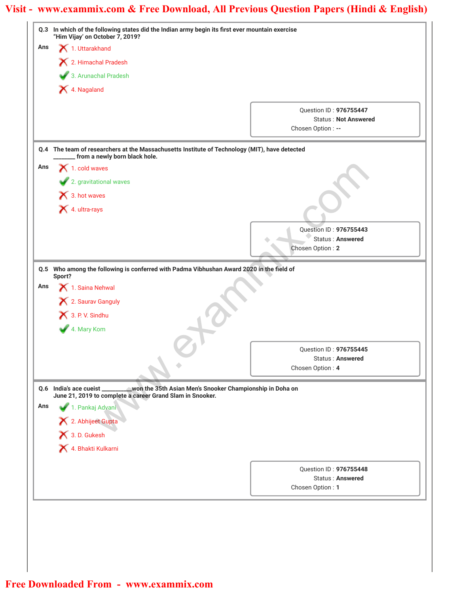|     | Q.3 In which of the following states did the Indian army begin its first ever mountain exercise<br>"Him Vijay' on October 7, 2019?              |                                                   |
|-----|-------------------------------------------------------------------------------------------------------------------------------------------------|---------------------------------------------------|
| Ans | 1. Uttarakhand                                                                                                                                  |                                                   |
|     | 12. Himachal Pradesh                                                                                                                            |                                                   |
|     | 3. Arunachal Pradesh                                                                                                                            |                                                   |
|     | X 4. Nagaland                                                                                                                                   |                                                   |
|     |                                                                                                                                                 |                                                   |
|     |                                                                                                                                                 | Question ID: 976755447                            |
|     |                                                                                                                                                 | <b>Status: Not Answered</b><br>Chosen Option : -- |
|     |                                                                                                                                                 |                                                   |
| Q.4 | The team of researchers at the Massachusetts Institute of Technology (MIT), have detected<br>from a newly born black hole.                      |                                                   |
| Ans | $\blacktriangle$ 1. cold waves                                                                                                                  |                                                   |
|     | 2. gravitational waves                                                                                                                          |                                                   |
|     | $\bigtimes$ 3. hot waves                                                                                                                        |                                                   |
|     | X 4. ultra-rays                                                                                                                                 |                                                   |
|     |                                                                                                                                                 |                                                   |
|     |                                                                                                                                                 | Question ID: 976755443                            |
|     |                                                                                                                                                 | Status: Answered<br>Chosen Option: 2              |
|     |                                                                                                                                                 |                                                   |
|     | Q.5 Who among the following is conferred with Padma Vibhushan Award 2020 in the field of<br>Sport?                                              |                                                   |
| Ans | 1. Saina Nehwal                                                                                                                                 |                                                   |
|     | X 2. Saurav Ganguly                                                                                                                             |                                                   |
|     | 3. P. V. Sindhu                                                                                                                                 |                                                   |
|     | 4. Mary Kom                                                                                                                                     |                                                   |
|     |                                                                                                                                                 |                                                   |
|     |                                                                                                                                                 | Question ID: 976755445                            |
|     |                                                                                                                                                 | <b>Status: Answered</b><br>Chosen Option: 4       |
|     |                                                                                                                                                 |                                                   |
|     | 0.6 India's ace cueist<br>won the 35th Asian Men's Snooker Championship in Doha on<br>June 21, 2019 to complete a career Grand Slam in Snooker. |                                                   |
| Ans | 1. Pankaj Advani                                                                                                                                |                                                   |
|     | X 2. Abhijeet Gupta                                                                                                                             |                                                   |
|     | 3. D. Gukesh                                                                                                                                    |                                                   |
|     | 4. Bhakti Kulkarni                                                                                                                              |                                                   |
|     |                                                                                                                                                 |                                                   |
|     |                                                                                                                                                 | Question ID: 976755448                            |
|     |                                                                                                                                                 | <b>Status: Answered</b><br>Chosen Option: 1       |
|     |                                                                                                                                                 |                                                   |
|     |                                                                                                                                                 |                                                   |
|     |                                                                                                                                                 |                                                   |
|     |                                                                                                                                                 |                                                   |
|     |                                                                                                                                                 |                                                   |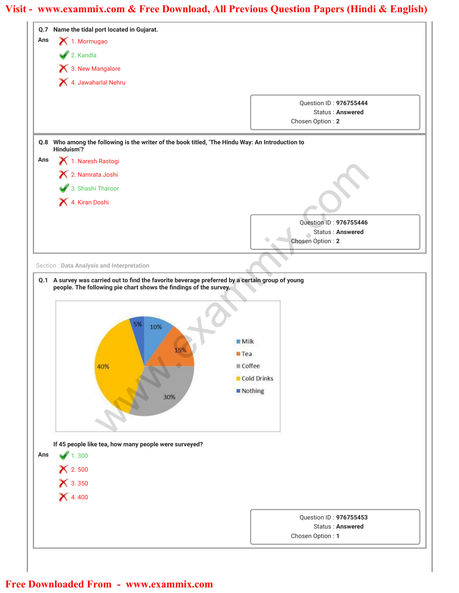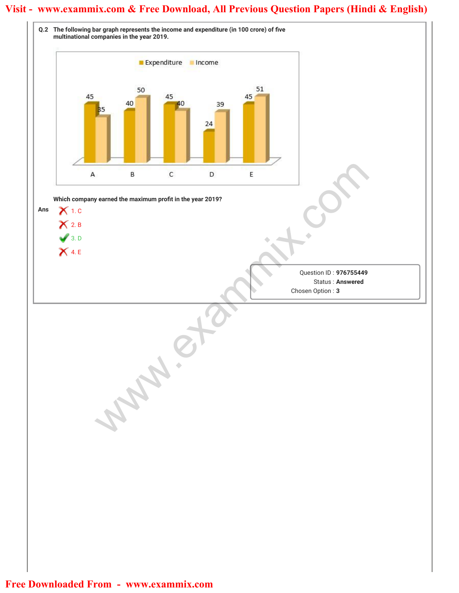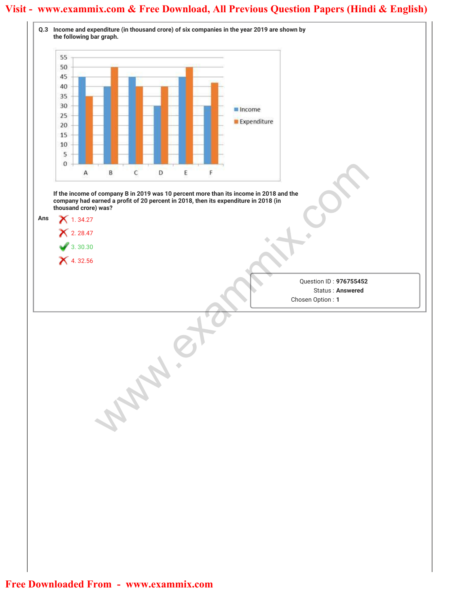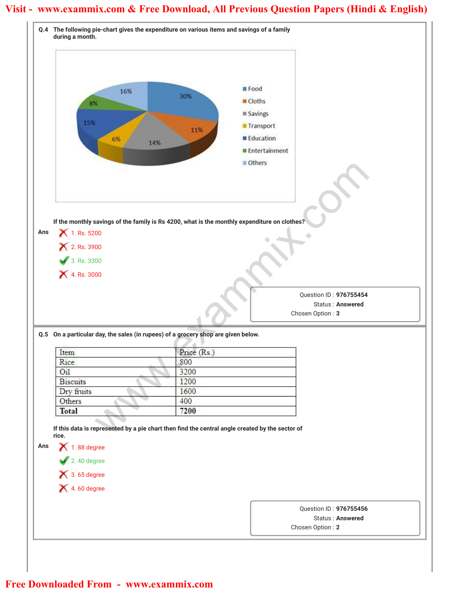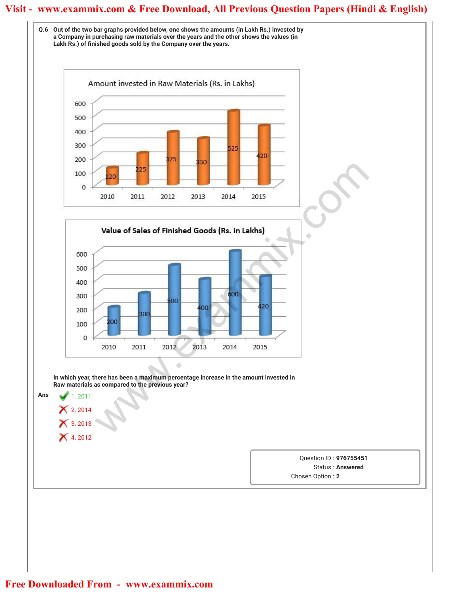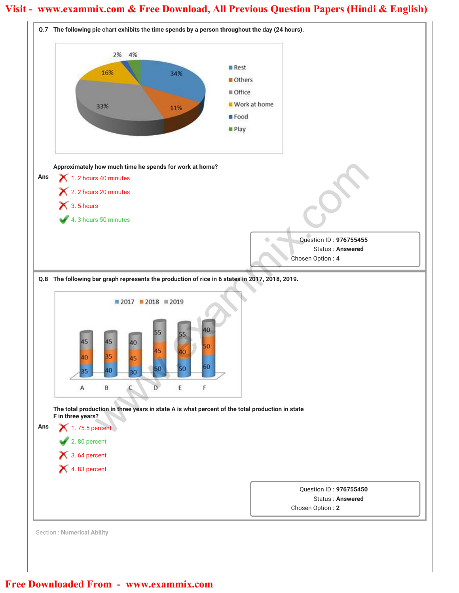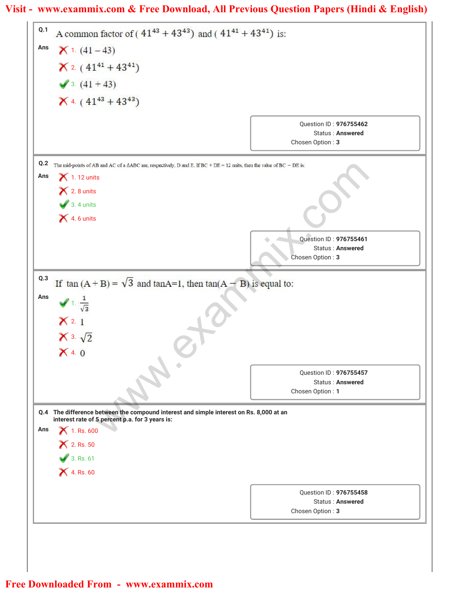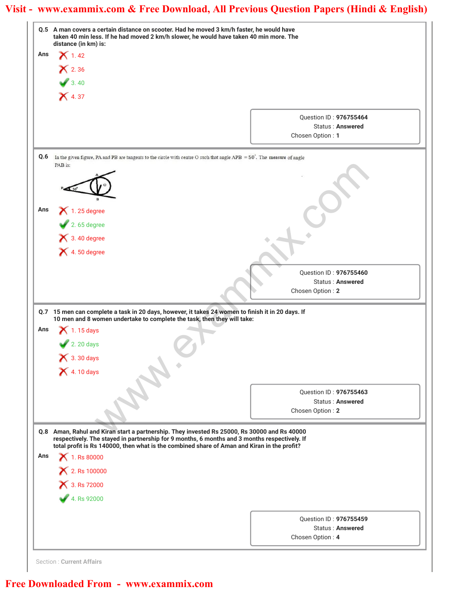|     | Q.5 A man covers a certain distance on scooter. Had he moved 3 km/h faster, he would have<br>taken 40 min less. If he had moved 2 km/h slower, he would have taken 40 min more. The<br>distance (in km) is:                                                                                 |                                             |
|-----|---------------------------------------------------------------------------------------------------------------------------------------------------------------------------------------------------------------------------------------------------------------------------------------------|---------------------------------------------|
| Ans | $\mathsf{X}$ 1.42                                                                                                                                                                                                                                                                           |                                             |
|     | $\mathsf{\times}$ 2.36                                                                                                                                                                                                                                                                      |                                             |
|     | 3.40                                                                                                                                                                                                                                                                                        |                                             |
|     | $\mathsf{X}$ 4.37                                                                                                                                                                                                                                                                           |                                             |
|     |                                                                                                                                                                                                                                                                                             |                                             |
|     |                                                                                                                                                                                                                                                                                             | Question ID: 976755464                      |
|     |                                                                                                                                                                                                                                                                                             | <b>Status: Answered</b>                     |
|     |                                                                                                                                                                                                                                                                                             | Chosen Option: 1                            |
| Q.6 | In the given figure, PA and PB are tangents to the circle with centre O such that angle APB = $50^\circ$ . The measure of angle                                                                                                                                                             |                                             |
|     | PAB is:                                                                                                                                                                                                                                                                                     |                                             |
|     |                                                                                                                                                                                                                                                                                             |                                             |
|     |                                                                                                                                                                                                                                                                                             |                                             |
|     |                                                                                                                                                                                                                                                                                             |                                             |
| Ans | $\blacktriangleright$ 1.25 degree                                                                                                                                                                                                                                                           |                                             |
|     | $2.65$ degree                                                                                                                                                                                                                                                                               |                                             |
|     | $\bigtimes$ 3.40 degree                                                                                                                                                                                                                                                                     |                                             |
|     | $\blacktriangleright$ 4.50 degree                                                                                                                                                                                                                                                           |                                             |
|     |                                                                                                                                                                                                                                                                                             |                                             |
|     |                                                                                                                                                                                                                                                                                             | Question ID: 976755460                      |
|     |                                                                                                                                                                                                                                                                                             | <b>Status: Answered</b><br>Chosen Option: 2 |
|     |                                                                                                                                                                                                                                                                                             |                                             |
|     | Q.7 15 men can complete a task in 20 days, however, it takes 24 women to finish it in 20 days. If                                                                                                                                                                                           |                                             |
| Ans | 10 men and 8 women undertake to complete the task, then they will take:<br>1.15 days                                                                                                                                                                                                        |                                             |
|     |                                                                                                                                                                                                                                                                                             |                                             |
|     | 2. 20 days                                                                                                                                                                                                                                                                                  |                                             |
|     | $\bigtimes$ 3.30 days                                                                                                                                                                                                                                                                       |                                             |
|     | <b>X</b> 4.10 days                                                                                                                                                                                                                                                                          |                                             |
|     |                                                                                                                                                                                                                                                                                             | Question ID: 976755463                      |
|     |                                                                                                                                                                                                                                                                                             | Status: Answered                            |
|     |                                                                                                                                                                                                                                                                                             | Chosen Option: 2                            |
|     |                                                                                                                                                                                                                                                                                             |                                             |
|     |                                                                                                                                                                                                                                                                                             |                                             |
|     | Q.8 Aman, Rahul and Kiran start a partnership. They invested Rs 25000, Rs 30000 and Rs 40000<br>respectively. The stayed in partnership for 9 months, 6 months and 3 months respectively. If<br>total profit is Rs 140000, then what is the combined share of Aman and Kiran in the profit? |                                             |
|     | $\bigtimes$ 1. Rs 80000                                                                                                                                                                                                                                                                     |                                             |
|     |                                                                                                                                                                                                                                                                                             |                                             |
|     | × 2. Rs 100000                                                                                                                                                                                                                                                                              |                                             |
|     | × 3. Rs 72000                                                                                                                                                                                                                                                                               |                                             |
|     | 4. Rs 92000                                                                                                                                                                                                                                                                                 |                                             |
|     |                                                                                                                                                                                                                                                                                             | Question ID: 976755459                      |
| Ans |                                                                                                                                                                                                                                                                                             | Status: Answered<br>Chosen Option: 4        |

Section : **Current Affairs**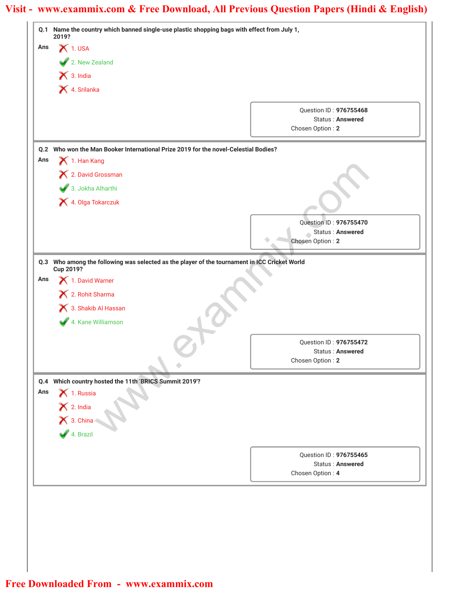| $X$ 1. USA<br>2. New Zealand<br>$\bigtimes$ 3. India<br>X 4. Srilanka<br>Question ID: 976755468<br>Status: Answered<br>Chosen Option: 2<br>Q.2 Who won the Man Booker International Prize 2019 for the novel-Celestial Bodies?<br>1. Han Kang<br>X 2. David Grossman<br>3. Jokha Alharthi<br>4. Olga Tokarczuk<br>Question ID: 976755470<br>Status: Answered<br>Chosen Option: 2<br>Q.3 Who among the following was selected as the player of the tournament in ICC Cricket World<br>Cup 2019?<br>1. David Warner<br>X 2. Rohit Sharma<br>3. Shakib Al Hassan<br>4. Kane Williamson<br>Question ID: 976755472<br><b>Status: Answered</b><br>Chosen Option: 2<br>Q.4 Which country hosted the 11th 'BRICS Summit 2019'?<br>$\blacktriangleright$ 1. Russia<br>Ans<br>$\frac{1}{\sqrt{2}}$ 2. India<br>$\frac{1}{\sqrt{2}}$ 3. China<br>$\frac{1}{\sqrt{2}}$ 4. Brazil<br>Question ID: 976755465<br><b>Status: Answered</b><br>Chosen Option: 4 |     | Q.1 Name the country which banned single-use plastic shopping bags with effect from July 1,<br>2019? |  |
|-----------------------------------------------------------------------------------------------------------------------------------------------------------------------------------------------------------------------------------------------------------------------------------------------------------------------------------------------------------------------------------------------------------------------------------------------------------------------------------------------------------------------------------------------------------------------------------------------------------------------------------------------------------------------------------------------------------------------------------------------------------------------------------------------------------------------------------------------------------------------------------------------------------------------------------------------|-----|------------------------------------------------------------------------------------------------------|--|
|                                                                                                                                                                                                                                                                                                                                                                                                                                                                                                                                                                                                                                                                                                                                                                                                                                                                                                                                               | Ans |                                                                                                      |  |
|                                                                                                                                                                                                                                                                                                                                                                                                                                                                                                                                                                                                                                                                                                                                                                                                                                                                                                                                               |     |                                                                                                      |  |
|                                                                                                                                                                                                                                                                                                                                                                                                                                                                                                                                                                                                                                                                                                                                                                                                                                                                                                                                               |     |                                                                                                      |  |
|                                                                                                                                                                                                                                                                                                                                                                                                                                                                                                                                                                                                                                                                                                                                                                                                                                                                                                                                               |     |                                                                                                      |  |
|                                                                                                                                                                                                                                                                                                                                                                                                                                                                                                                                                                                                                                                                                                                                                                                                                                                                                                                                               |     |                                                                                                      |  |
|                                                                                                                                                                                                                                                                                                                                                                                                                                                                                                                                                                                                                                                                                                                                                                                                                                                                                                                                               |     |                                                                                                      |  |
|                                                                                                                                                                                                                                                                                                                                                                                                                                                                                                                                                                                                                                                                                                                                                                                                                                                                                                                                               |     |                                                                                                      |  |
|                                                                                                                                                                                                                                                                                                                                                                                                                                                                                                                                                                                                                                                                                                                                                                                                                                                                                                                                               |     |                                                                                                      |  |
|                                                                                                                                                                                                                                                                                                                                                                                                                                                                                                                                                                                                                                                                                                                                                                                                                                                                                                                                               | Ans |                                                                                                      |  |
|                                                                                                                                                                                                                                                                                                                                                                                                                                                                                                                                                                                                                                                                                                                                                                                                                                                                                                                                               |     |                                                                                                      |  |
|                                                                                                                                                                                                                                                                                                                                                                                                                                                                                                                                                                                                                                                                                                                                                                                                                                                                                                                                               |     |                                                                                                      |  |
|                                                                                                                                                                                                                                                                                                                                                                                                                                                                                                                                                                                                                                                                                                                                                                                                                                                                                                                                               |     |                                                                                                      |  |
|                                                                                                                                                                                                                                                                                                                                                                                                                                                                                                                                                                                                                                                                                                                                                                                                                                                                                                                                               |     |                                                                                                      |  |
|                                                                                                                                                                                                                                                                                                                                                                                                                                                                                                                                                                                                                                                                                                                                                                                                                                                                                                                                               |     |                                                                                                      |  |
|                                                                                                                                                                                                                                                                                                                                                                                                                                                                                                                                                                                                                                                                                                                                                                                                                                                                                                                                               |     |                                                                                                      |  |
|                                                                                                                                                                                                                                                                                                                                                                                                                                                                                                                                                                                                                                                                                                                                                                                                                                                                                                                                               |     |                                                                                                      |  |
|                                                                                                                                                                                                                                                                                                                                                                                                                                                                                                                                                                                                                                                                                                                                                                                                                                                                                                                                               |     |                                                                                                      |  |
|                                                                                                                                                                                                                                                                                                                                                                                                                                                                                                                                                                                                                                                                                                                                                                                                                                                                                                                                               | Ans |                                                                                                      |  |
|                                                                                                                                                                                                                                                                                                                                                                                                                                                                                                                                                                                                                                                                                                                                                                                                                                                                                                                                               |     |                                                                                                      |  |
|                                                                                                                                                                                                                                                                                                                                                                                                                                                                                                                                                                                                                                                                                                                                                                                                                                                                                                                                               |     |                                                                                                      |  |
|                                                                                                                                                                                                                                                                                                                                                                                                                                                                                                                                                                                                                                                                                                                                                                                                                                                                                                                                               |     |                                                                                                      |  |
|                                                                                                                                                                                                                                                                                                                                                                                                                                                                                                                                                                                                                                                                                                                                                                                                                                                                                                                                               |     |                                                                                                      |  |
|                                                                                                                                                                                                                                                                                                                                                                                                                                                                                                                                                                                                                                                                                                                                                                                                                                                                                                                                               |     |                                                                                                      |  |
|                                                                                                                                                                                                                                                                                                                                                                                                                                                                                                                                                                                                                                                                                                                                                                                                                                                                                                                                               |     |                                                                                                      |  |
|                                                                                                                                                                                                                                                                                                                                                                                                                                                                                                                                                                                                                                                                                                                                                                                                                                                                                                                                               |     |                                                                                                      |  |
|                                                                                                                                                                                                                                                                                                                                                                                                                                                                                                                                                                                                                                                                                                                                                                                                                                                                                                                                               |     |                                                                                                      |  |
|                                                                                                                                                                                                                                                                                                                                                                                                                                                                                                                                                                                                                                                                                                                                                                                                                                                                                                                                               |     |                                                                                                      |  |
|                                                                                                                                                                                                                                                                                                                                                                                                                                                                                                                                                                                                                                                                                                                                                                                                                                                                                                                                               |     |                                                                                                      |  |
|                                                                                                                                                                                                                                                                                                                                                                                                                                                                                                                                                                                                                                                                                                                                                                                                                                                                                                                                               |     |                                                                                                      |  |
|                                                                                                                                                                                                                                                                                                                                                                                                                                                                                                                                                                                                                                                                                                                                                                                                                                                                                                                                               |     |                                                                                                      |  |
|                                                                                                                                                                                                                                                                                                                                                                                                                                                                                                                                                                                                                                                                                                                                                                                                                                                                                                                                               |     |                                                                                                      |  |
|                                                                                                                                                                                                                                                                                                                                                                                                                                                                                                                                                                                                                                                                                                                                                                                                                                                                                                                                               |     |                                                                                                      |  |
|                                                                                                                                                                                                                                                                                                                                                                                                                                                                                                                                                                                                                                                                                                                                                                                                                                                                                                                                               |     |                                                                                                      |  |
|                                                                                                                                                                                                                                                                                                                                                                                                                                                                                                                                                                                                                                                                                                                                                                                                                                                                                                                                               |     |                                                                                                      |  |
|                                                                                                                                                                                                                                                                                                                                                                                                                                                                                                                                                                                                                                                                                                                                                                                                                                                                                                                                               |     |                                                                                                      |  |
|                                                                                                                                                                                                                                                                                                                                                                                                                                                                                                                                                                                                                                                                                                                                                                                                                                                                                                                                               |     |                                                                                                      |  |
|                                                                                                                                                                                                                                                                                                                                                                                                                                                                                                                                                                                                                                                                                                                                                                                                                                                                                                                                               |     |                                                                                                      |  |
|                                                                                                                                                                                                                                                                                                                                                                                                                                                                                                                                                                                                                                                                                                                                                                                                                                                                                                                                               |     |                                                                                                      |  |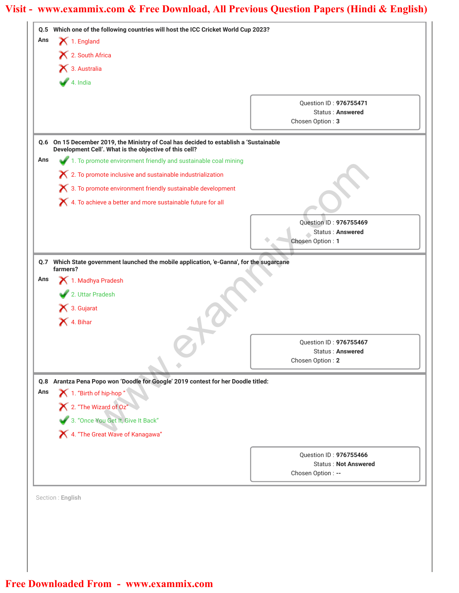| Ans | $\blacktriangleright$ 1. England                                                                                                                |                                                       |
|-----|-------------------------------------------------------------------------------------------------------------------------------------------------|-------------------------------------------------------|
|     | X 2. South Africa                                                                                                                               |                                                       |
|     | 3. Australia                                                                                                                                    |                                                       |
|     | 4. India                                                                                                                                        |                                                       |
|     |                                                                                                                                                 |                                                       |
|     |                                                                                                                                                 | Question ID: 976755471<br><b>Status: Answered</b>     |
|     |                                                                                                                                                 | Chosen Option: 3                                      |
|     | Q.6 On 15 December 2019, the Ministry of Coal has decided to establish a 'Sustainable<br>Development Cell'. What is the objective of this cell? |                                                       |
| Ans | 1. To promote environment friendly and sustainable coal mining                                                                                  |                                                       |
|     | X 2. To promote inclusive and sustainable industrialization                                                                                     |                                                       |
|     | $\boldsymbol{\times}$ 3. To promote environment friendly sustainable development                                                                |                                                       |
|     | X 4. To achieve a better and more sustainable future for all                                                                                    |                                                       |
|     |                                                                                                                                                 |                                                       |
|     |                                                                                                                                                 | Question ID: 976755469                                |
|     |                                                                                                                                                 | Status: Answered<br>Chosen Option: 1                  |
|     | Q.7 Which State government launched the mobile application, 'e-Ganna', for the sugarcane                                                        |                                                       |
|     | farmers?                                                                                                                                        |                                                       |
| Ans | 1. Madhya Pradesh                                                                                                                               |                                                       |
|     | 2. Uttar Pradesh                                                                                                                                |                                                       |
|     | X 3. Gujarat                                                                                                                                    |                                                       |
|     | X 4. Bihar                                                                                                                                      |                                                       |
|     |                                                                                                                                                 |                                                       |
|     |                                                                                                                                                 | Question ID: 976755467                                |
|     |                                                                                                                                                 | Status: Answered                                      |
|     |                                                                                                                                                 | Chosen Option: 2                                      |
| Q.8 | Arantza Pena Popo won 'Doodle for Google' 2019 contest for her Doodle titled:                                                                   |                                                       |
| Ans | 1. "Birth of hip-hop"                                                                                                                           |                                                       |
|     | $\bigtimes$ 2. "The Wizard of Oz"                                                                                                               |                                                       |
|     | 3. "Once You Get It, Give It Back"                                                                                                              |                                                       |
|     | X 4. "The Great Wave of Kanagawa"                                                                                                               |                                                       |
|     |                                                                                                                                                 |                                                       |
|     |                                                                                                                                                 | Question ID: 976755466<br><b>Status: Not Answered</b> |
|     |                                                                                                                                                 | Chosen Option: --                                     |
|     |                                                                                                                                                 |                                                       |
|     | Section: English                                                                                                                                |                                                       |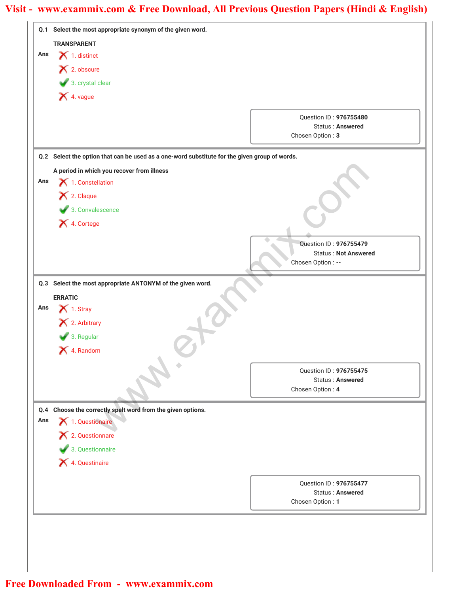|     | Q.1 Select the most appropriate synonym of the given word.                                    |                                                   |
|-----|-----------------------------------------------------------------------------------------------|---------------------------------------------------|
|     | <b>TRANSPARENT</b>                                                                            |                                                   |
| Ans | $\blacktriangleright$ 1. distinct                                                             |                                                   |
|     | X 2. obscure                                                                                  |                                                   |
|     | 3. crystal clear                                                                              |                                                   |
|     | 1. vague                                                                                      |                                                   |
|     |                                                                                               |                                                   |
|     |                                                                                               | Question ID: 976755480<br><b>Status: Answered</b> |
|     |                                                                                               | Chosen Option: 3                                  |
|     | Q.2 Select the option that can be used as a one-word substitute for the given group of words. |                                                   |
|     | A period in which you recover from illness                                                    |                                                   |
| Ans | $\blacktriangleright$ 1. Constellation                                                        |                                                   |
|     | X 2. Claque                                                                                   |                                                   |
|     | 3. Convalescence                                                                              |                                                   |
|     | X 4. Cortege                                                                                  |                                                   |
|     |                                                                                               |                                                   |
|     |                                                                                               | Question ID: 976755479                            |
|     |                                                                                               | <b>Status: Not Answered</b><br>Chosen Option: --  |
|     |                                                                                               |                                                   |
|     | Q.3 Select the most appropriate ANTONYM of the given word.                                    |                                                   |
|     | <b>ERRATIC</b>                                                                                |                                                   |
| Ans | $\blacktriangleright$ 1. Stray                                                                |                                                   |
|     | X 2. Arbitrary                                                                                |                                                   |
|     | 3. Regular                                                                                    |                                                   |
|     | X 4. Random                                                                                   |                                                   |
|     |                                                                                               | Question ID: 976755475                            |
|     |                                                                                               | <b>Status: Answered</b>                           |
|     |                                                                                               | Chosen Option: 4                                  |
|     | Q.4 Choose the correctly spelt word from the given options.                                   |                                                   |
| Ans | 1. Questionaire                                                                               |                                                   |
|     | X 2. Questionnare                                                                             |                                                   |
|     | 3. Questionnaire                                                                              |                                                   |
|     | X 4. Questinaire                                                                              |                                                   |
|     |                                                                                               |                                                   |
|     |                                                                                               | Question ID: 976755477<br><b>Status: Answered</b> |
|     |                                                                                               | Chosen Option: 1                                  |
|     |                                                                                               |                                                   |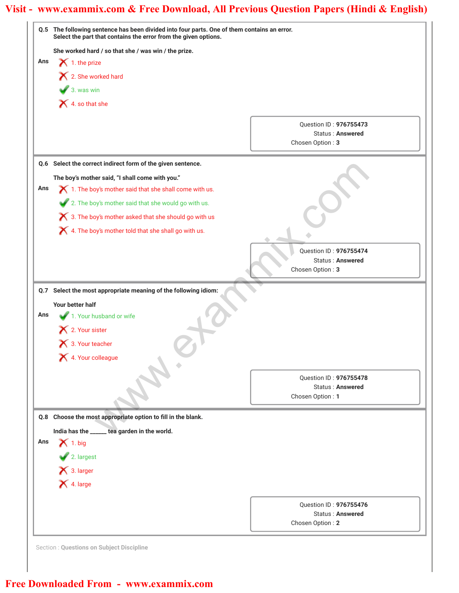|     | Q.5 The following sentence has been divided into four parts. One of them contains an error.<br>Select the part that contains the error from the given options. |                                                                       |
|-----|----------------------------------------------------------------------------------------------------------------------------------------------------------------|-----------------------------------------------------------------------|
|     | She worked hard / so that she / was win / the prize.                                                                                                           |                                                                       |
| Ans | $\blacktriangleright$ 1. the prize                                                                                                                             |                                                                       |
|     | X 2. She worked hard                                                                                                                                           |                                                                       |
|     | $\bullet$ 3. was win                                                                                                                                           |                                                                       |
|     | 4. so that she                                                                                                                                                 |                                                                       |
|     |                                                                                                                                                                |                                                                       |
|     |                                                                                                                                                                | Question ID: 976755473                                                |
|     |                                                                                                                                                                | Status: Answered<br>Chosen Option: 3                                  |
|     |                                                                                                                                                                |                                                                       |
|     | Q.6 Select the correct indirect form of the given sentence.                                                                                                    |                                                                       |
|     | The boy's mother said, "I shall come with you."                                                                                                                |                                                                       |
| Ans | $\bigtimes$ 1. The boy's mother said that she shall come with us.                                                                                              |                                                                       |
|     | 2. The boy's mother said that she would go with us.                                                                                                            |                                                                       |
|     | 3. The boy's mother asked that she should go with us                                                                                                           |                                                                       |
|     | X 4. The boy's mother told that she shall go with us.                                                                                                          |                                                                       |
|     |                                                                                                                                                                |                                                                       |
|     |                                                                                                                                                                | Question ID: 976755474                                                |
|     |                                                                                                                                                                | <b>Status: Answered</b><br>Chosen Option: 3                           |
| Ans | Your better half<br>1. Your husband or wife<br>2. Your sister<br>3. Your teacher                                                                               |                                                                       |
|     | 4. Your colleague                                                                                                                                              |                                                                       |
|     |                                                                                                                                                                |                                                                       |
|     |                                                                                                                                                                | Question ID: 976755478<br>Status: Answered                            |
|     |                                                                                                                                                                | Chosen Option: 1                                                      |
|     |                                                                                                                                                                |                                                                       |
|     |                                                                                                                                                                |                                                                       |
|     | Q.8 Choose the most appropriate option to fill in the blank.                                                                                                   |                                                                       |
|     | India has the _____ tea garden in the world.                                                                                                                   |                                                                       |
| Ans | $\bigtimes$ 1. big                                                                                                                                             |                                                                       |
|     | 2. largest                                                                                                                                                     |                                                                       |
|     | $\blacktriangleright$ 3. larger                                                                                                                                |                                                                       |
|     | X 4. large                                                                                                                                                     |                                                                       |
|     |                                                                                                                                                                |                                                                       |
|     |                                                                                                                                                                | Question ID: 976755476<br><b>Status: Answered</b><br>Chosen Option: 2 |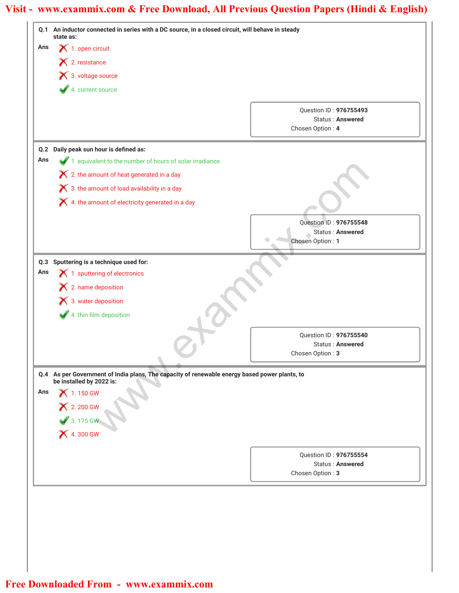|     | Q.1 An inductor connected in series with a DC source, in a closed circuit, will behave in steady<br>state as: |                                                   |
|-----|---------------------------------------------------------------------------------------------------------------|---------------------------------------------------|
| Ans | $\blacktriangleright$ 1. open circuit                                                                         |                                                   |
|     | X 2. resistance                                                                                               |                                                   |
|     | × 3. voltage source                                                                                           |                                                   |
|     | 4. current source                                                                                             |                                                   |
|     |                                                                                                               |                                                   |
|     |                                                                                                               | Question ID: 976755493<br><b>Status: Answered</b> |
|     |                                                                                                               | Chosen Option: 4                                  |
| Q.2 | Daily peak sun hour is defined as:                                                                            |                                                   |
| Ans | 1. equivalent to the number of hours of solar irradiance                                                      |                                                   |
|     | $\boldsymbol{\times}$ 2. the amount of heat generated in a day                                                |                                                   |
|     | X 3. the amount of load availability in a day                                                                 |                                                   |
|     | X 4. the amount of electricity generated in a day                                                             |                                                   |
|     |                                                                                                               |                                                   |
|     |                                                                                                               | Question ID: 976755548                            |
|     |                                                                                                               | Status: Answered<br>Chosen Option: 1              |
|     |                                                                                                               |                                                   |
|     | Q.3 Sputtering is a technique used for:                                                                       |                                                   |
| Ans | 1. sputtering of electronics                                                                                  |                                                   |
|     | $\blacktriangleright$ 2. name deposition                                                                      |                                                   |
|     | 8. water deposition                                                                                           |                                                   |
|     | 4. thin film deposition                                                                                       |                                                   |
|     |                                                                                                               | Question ID: 976755540                            |
|     |                                                                                                               | <b>Status: Answered</b>                           |
|     |                                                                                                               | Chosen Option: 3                                  |
|     | Q.4 As per Government of India plans, The capacity of renewable energy based power plants, to                 |                                                   |
|     | be installed by 2022 is:                                                                                      |                                                   |
| Ans | $\bigtimes$ 1.150 GW                                                                                          |                                                   |
|     | <b>X</b> 2.200 GW                                                                                             |                                                   |
|     | 3. 175 GW<br><b>X</b> 4. 300 GW                                                                               |                                                   |
|     |                                                                                                               |                                                   |
|     |                                                                                                               |                                                   |
|     |                                                                                                               | Question ID: 976755554<br><b>Status: Answered</b> |
|     |                                                                                                               | Chosen Option: 3                                  |
|     |                                                                                                               |                                                   |
|     |                                                                                                               |                                                   |
|     |                                                                                                               |                                                   |
|     |                                                                                                               |                                                   |
|     |                                                                                                               |                                                   |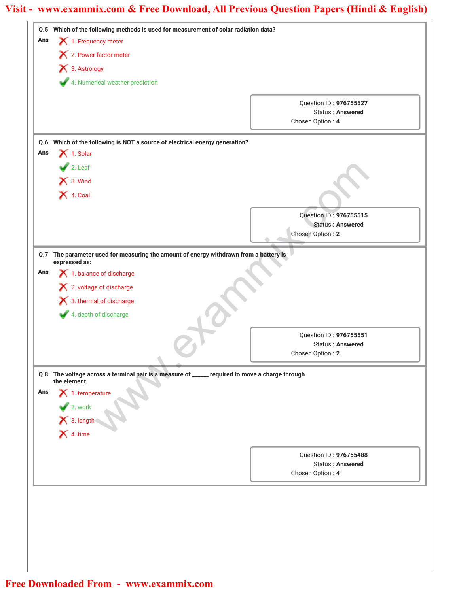| Ans        |                                                                                                                | Q.5 Which of the following methods is used for measurement of solar radiation data? |
|------------|----------------------------------------------------------------------------------------------------------------|-------------------------------------------------------------------------------------|
|            | 1. Frequency meter                                                                                             |                                                                                     |
|            | X 2. Power factor meter                                                                                        |                                                                                     |
|            | X 3. Astrology                                                                                                 |                                                                                     |
|            | 4. Numerical weather prediction                                                                                |                                                                                     |
|            |                                                                                                                | Question ID: 976755527                                                              |
|            |                                                                                                                | Status: Answered                                                                    |
|            |                                                                                                                | Chosen Option: 4                                                                    |
|            | Q.6 Which of the following is NOT a source of electrical energy generation?                                    |                                                                                     |
| Ans        | $\bigtimes$ 1. Solar                                                                                           |                                                                                     |
|            | $2.$ Leaf                                                                                                      |                                                                                     |
|            | X 3. Wind                                                                                                      |                                                                                     |
|            | $\blacktriangleright$ 4. Coal                                                                                  |                                                                                     |
|            |                                                                                                                |                                                                                     |
|            |                                                                                                                | Question ID: 976755515                                                              |
|            |                                                                                                                | Status: Answered<br>Chosen Option: 2                                                |
|            |                                                                                                                |                                                                                     |
|            | Q.7 The parameter used for measuring the amount of energy withdrawn from a battery is                          |                                                                                     |
|            |                                                                                                                |                                                                                     |
|            | expressed as:                                                                                                  |                                                                                     |
|            | 1. balance of discharge                                                                                        |                                                                                     |
|            | X 2. voltage of discharge                                                                                      |                                                                                     |
|            | X 3. thermal of discharge                                                                                      |                                                                                     |
|            | 4. depth of discharge                                                                                          |                                                                                     |
|            |                                                                                                                | Question ID: 976755551                                                              |
|            |                                                                                                                | Status: Answered                                                                    |
|            |                                                                                                                | Chosen Option: 2                                                                    |
|            |                                                                                                                |                                                                                     |
|            | Q.8 The voltage across a terminal pair is a measure of _____ required to move a charge through<br>the element. |                                                                                     |
|            | $\blacktriangleright$ 1. temperature                                                                           |                                                                                     |
|            |                                                                                                                |                                                                                     |
|            |                                                                                                                |                                                                                     |
| Ans<br>Ans | 2. work<br>X 3. length<br>X 4. time                                                                            |                                                                                     |
|            |                                                                                                                |                                                                                     |
|            |                                                                                                                | Question ID: 976755488<br><b>Status: Answered</b>                                   |
|            |                                                                                                                | Chosen Option: 4                                                                    |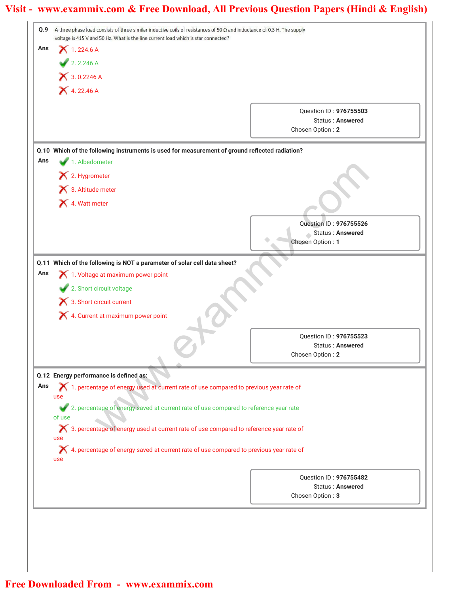| Q.9 | A three phase load consists of three similar inductive coils of resistances of 50 $\Omega$ and inductance of 0.3 H. The supply<br>voltage is 415 V and 50 Hz. What is the line current load which is star connected? |                                             |
|-----|----------------------------------------------------------------------------------------------------------------------------------------------------------------------------------------------------------------------|---------------------------------------------|
| Ans | $X$ 1.224.6 A                                                                                                                                                                                                        |                                             |
|     | 2.2.246 A                                                                                                                                                                                                            |                                             |
|     | <b>X</b> 3.0.2246 A                                                                                                                                                                                                  |                                             |
|     | <b>X</b> 4.22.46 A                                                                                                                                                                                                   |                                             |
|     |                                                                                                                                                                                                                      | Question ID: 976755503                      |
|     |                                                                                                                                                                                                                      | <b>Status: Answered</b>                     |
|     |                                                                                                                                                                                                                      | Chosen Option: 2                            |
|     | Q.10 Which of the following instruments is used for measurement of ground reflected radiation?                                                                                                                       |                                             |
| Ans | 1. Albedometer                                                                                                                                                                                                       |                                             |
|     | X 2. Hygrometer                                                                                                                                                                                                      |                                             |
|     | 3. Altitude meter                                                                                                                                                                                                    |                                             |
|     | 4. Watt meter                                                                                                                                                                                                        |                                             |
|     |                                                                                                                                                                                                                      | Question ID: 976755526                      |
|     |                                                                                                                                                                                                                      | Status: Answered                            |
|     |                                                                                                                                                                                                                      | Chosen Option: 1                            |
|     | Q.11 Which of the following is NOT a parameter of solar cell data sheet?                                                                                                                                             |                                             |
| Ans | 1. Voltage at maximum power point                                                                                                                                                                                    |                                             |
|     | 2. Short circuit voltage                                                                                                                                                                                             |                                             |
|     | $\blacktriangleright$ 3. Short circuit current                                                                                                                                                                       |                                             |
|     | X 4. Current at maximum power point                                                                                                                                                                                  |                                             |
|     |                                                                                                                                                                                                                      | Question ID: 976755523                      |
|     |                                                                                                                                                                                                                      | <b>Status: Answered</b><br>Chosen Option: 2 |
|     |                                                                                                                                                                                                                      |                                             |
|     | Q.12 Energy performance is defined as:                                                                                                                                                                               |                                             |
| Ans | 1. percentage of energy used at current rate of use compared to previous year rate of<br>use                                                                                                                         |                                             |
|     | 2. percentage of energy saved at current rate of use compared to reference year rate                                                                                                                                 |                                             |
|     | of use                                                                                                                                                                                                               |                                             |
|     | ◯ 3. percentage of energy used at current rate of use compared to reference year rate of                                                                                                                             |                                             |
|     | use<br>X 4. percentage of energy saved at current rate of use compared to previous year rate of                                                                                                                      |                                             |
|     | use                                                                                                                                                                                                                  |                                             |
|     |                                                                                                                                                                                                                      | Question ID: 976755482                      |
|     |                                                                                                                                                                                                                      | <b>Status: Answered</b>                     |
|     |                                                                                                                                                                                                                      | Chosen Option: 3                            |
|     |                                                                                                                                                                                                                      |                                             |
|     |                                                                                                                                                                                                                      |                                             |

I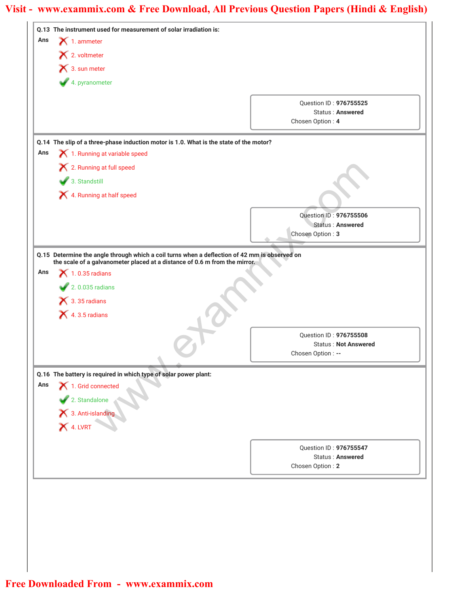| Ans | Q.13 The instrument used for measurement of solar irradiation is:<br>$\blacktriangleright$ 1. ammeter              |                                                                                               |
|-----|--------------------------------------------------------------------------------------------------------------------|-----------------------------------------------------------------------------------------------|
|     | × 2. voltmeter                                                                                                     |                                                                                               |
|     | 1 3. sun meter                                                                                                     |                                                                                               |
|     |                                                                                                                    |                                                                                               |
|     | 4. pyranometer                                                                                                     |                                                                                               |
|     |                                                                                                                    | Question ID: 976755525                                                                        |
|     |                                                                                                                    | <b>Status: Answered</b>                                                                       |
|     |                                                                                                                    | Chosen Option: 4                                                                              |
|     | Q.14 The slip of a three-phase induction motor is 1.0. What is the state of the motor?                             |                                                                                               |
| Ans | 1. Running at variable speed                                                                                       |                                                                                               |
|     | X 2. Running at full speed                                                                                         |                                                                                               |
|     | 3. Standstill                                                                                                      |                                                                                               |
|     | X 4. Running at half speed                                                                                         |                                                                                               |
|     |                                                                                                                    |                                                                                               |
|     |                                                                                                                    | Question ID: 976755506<br><b>Status: Answered</b>                                             |
|     |                                                                                                                    | Chosen Option: 3                                                                              |
|     |                                                                                                                    |                                                                                               |
|     |                                                                                                                    | Q.15 Determine the angle through which a coil turns when a deflection of 42 mm is observed on |
| Ans | the scale of a galvanometer placed at a distance of 0.6 m from the mirror.<br>$\blacktriangleright$ 1.0.35 radians |                                                                                               |
|     | $\sqrt{2.0.035}$ radians                                                                                           |                                                                                               |
|     | $\bigtimes$ 3.35 radians                                                                                           |                                                                                               |
|     |                                                                                                                    |                                                                                               |
|     |                                                                                                                    |                                                                                               |
|     | $\blacktriangleright$ 4.3.5 radians                                                                                |                                                                                               |
|     |                                                                                                                    | Question ID: 976755508                                                                        |
|     |                                                                                                                    | <b>Status: Not Answered</b>                                                                   |
|     |                                                                                                                    | Chosen Option: --                                                                             |
|     | Q.16 The battery is required in which type of solar power plant:                                                   |                                                                                               |
| Ans | 1. Grid connected                                                                                                  |                                                                                               |
|     |                                                                                                                    |                                                                                               |
|     |                                                                                                                    |                                                                                               |
|     |                                                                                                                    |                                                                                               |
|     | 2. Standalone<br>X 3. Anti-islanding<br>X 4. LVRT                                                                  |                                                                                               |
|     |                                                                                                                    | Question ID: 976755547                                                                        |
|     |                                                                                                                    | Status: Answered                                                                              |
|     |                                                                                                                    | Chosen Option: 2                                                                              |
|     |                                                                                                                    |                                                                                               |
|     |                                                                                                                    |                                                                                               |
|     |                                                                                                                    |                                                                                               |
|     |                                                                                                                    |                                                                                               |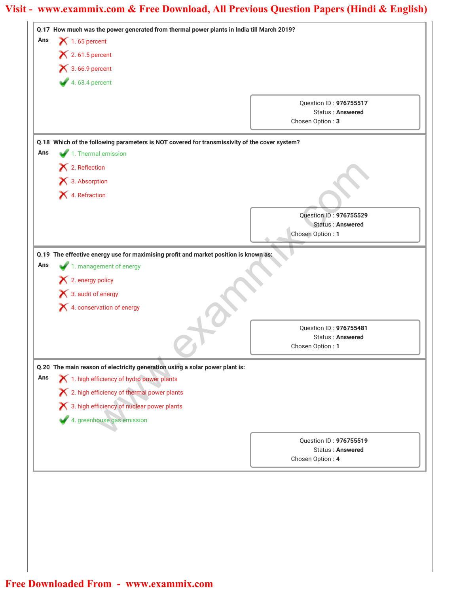|     | Q.17 How much was the power generated from thermal power plants in India till March 2019?                                |                                             |                        |
|-----|--------------------------------------------------------------------------------------------------------------------------|---------------------------------------------|------------------------|
| Ans | $\blacktriangleright$ 1.65 percent<br>$\blacktriangleright$ 2.61.5 percent                                               |                                             |                        |
|     |                                                                                                                          |                                             |                        |
|     | $4.63.4$ percent                                                                                                         |                                             |                        |
|     |                                                                                                                          |                                             | Question ID: 976755517 |
|     |                                                                                                                          | <b>Status: Answered</b>                     |                        |
|     |                                                                                                                          | Chosen Option: 3                            |                        |
|     | Q.18 Which of the following parameters is NOT covered for transmissivity of the cover system?                            |                                             |                        |
| Ans | 1. Thermal emission                                                                                                      |                                             |                        |
|     | X 2. Reflection                                                                                                          |                                             |                        |
|     | × 3. Absorption                                                                                                          |                                             |                        |
|     | X 4. Refraction                                                                                                          |                                             |                        |
|     |                                                                                                                          |                                             |                        |
|     |                                                                                                                          | Question ID: 976755529<br>Status: Answered  |                        |
|     |                                                                                                                          | Chosen Option: 1                            |                        |
|     |                                                                                                                          |                                             |                        |
|     | Q.19 The effective energy use for maximising profit and market position is known as:                                     |                                             |                        |
| Ans | 1. management of energy                                                                                                  |                                             |                        |
|     |                                                                                                                          |                                             |                        |
|     | $\blacktriangleright$ 2. energy policy                                                                                   |                                             |                        |
|     | 1 3. audit of energy                                                                                                     |                                             |                        |
|     | X 4. conservation of energy                                                                                              |                                             |                        |
|     |                                                                                                                          |                                             |                        |
|     |                                                                                                                          | Question ID: 976755481<br>Status: Answered  |                        |
|     |                                                                                                                          | Chosen Option: 1                            |                        |
|     |                                                                                                                          |                                             |                        |
| Ans | Q.20 The main reason of electricity generation using a solar power plant is:<br>1. high efficiency of hydro power plants |                                             |                        |
|     |                                                                                                                          |                                             |                        |
|     | X 2. high efficiency of thermal power plants                                                                             |                                             |                        |
|     | 8. A s. high efficiency of nuclear power plants                                                                          |                                             |                        |
|     | 4. greenhouse gas emission                                                                                               |                                             |                        |
|     |                                                                                                                          | Question ID: 976755519                      |                        |
|     |                                                                                                                          | <b>Status: Answered</b><br>Chosen Option: 4 |                        |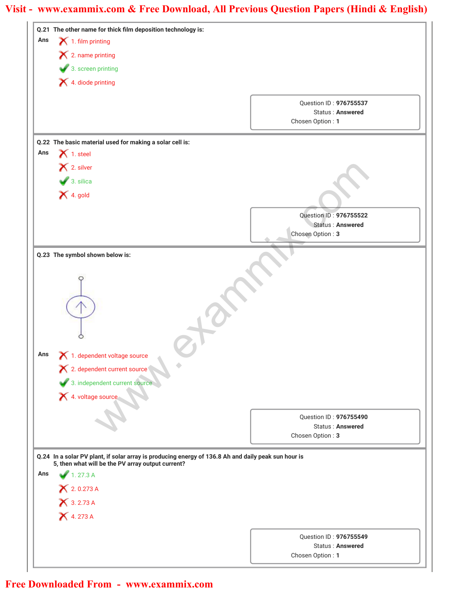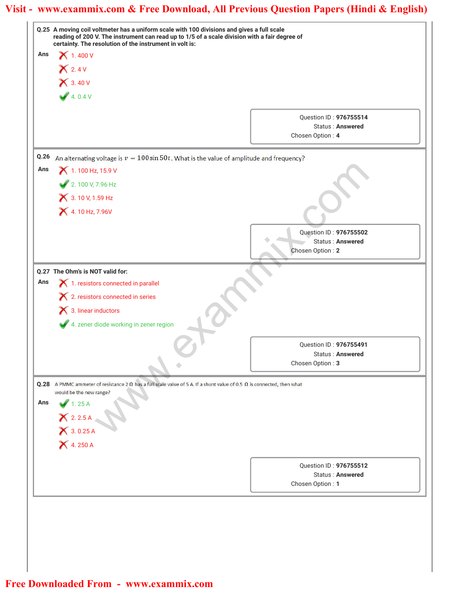|      | Q.25 A moving coil voltmeter has a uniform scale with 100 divisions and gives a full scale<br>reading of 200 V. The instrument can read up to 1/5 of a scale division with a fair degree of |                                      |  |
|------|---------------------------------------------------------------------------------------------------------------------------------------------------------------------------------------------|--------------------------------------|--|
| Ans  | certainty. The resolution of the instrument in volt is:<br>$\bigtimes$ 1.400 V                                                                                                              |                                      |  |
|      |                                                                                                                                                                                             |                                      |  |
|      | $X$ 2.4 V                                                                                                                                                                                   |                                      |  |
|      | $X$ 3.40 V                                                                                                                                                                                  |                                      |  |
|      | 4.0.4V                                                                                                                                                                                      |                                      |  |
|      |                                                                                                                                                                                             | Question ID: 976755514               |  |
|      |                                                                                                                                                                                             | Status: Answered                     |  |
|      |                                                                                                                                                                                             | Chosen Option: 4                     |  |
| Q.26 | An alternating voltage is $v = 100 \sin 50t$ . What is the value of amplitude and frequency?                                                                                                |                                      |  |
| Ans  | 1.100 Hz, 15.9 V                                                                                                                                                                            |                                      |  |
|      | 2. 100 V, 7.96 Hz                                                                                                                                                                           |                                      |  |
|      | 3.10 V, 1.59 Hz                                                                                                                                                                             |                                      |  |
|      | 4.10 Hz, 7.96V                                                                                                                                                                              |                                      |  |
|      |                                                                                                                                                                                             |                                      |  |
|      |                                                                                                                                                                                             | Question ID: 976755502               |  |
|      |                                                                                                                                                                                             | Status: Answered<br>Chosen Option: 2 |  |
|      |                                                                                                                                                                                             |                                      |  |
|      | Q.27 The Ohm's is NOT valid for:                                                                                                                                                            |                                      |  |
| Ans  | 1. resistors connected in parallel                                                                                                                                                          |                                      |  |
|      | X 2. resistors connected in series                                                                                                                                                          |                                      |  |
|      | $\bigtimes$ 3. linear inductors                                                                                                                                                             |                                      |  |
|      | 4. zener diode working in zener region                                                                                                                                                      |                                      |  |
|      |                                                                                                                                                                                             | Question ID: 976755491               |  |
|      |                                                                                                                                                                                             | <b>Status: Answered</b>              |  |
|      |                                                                                                                                                                                             | Chosen Option: 3                     |  |
|      | Q.28 A PMMC ammeter of resistance 2 $\Omega$ has a full scale value of 5 A. If a shunt value of 0.5 $\Omega$ is connected, then what                                                        |                                      |  |
|      | would be the new range?                                                                                                                                                                     |                                      |  |
| Ans  | 1.25A                                                                                                                                                                                       |                                      |  |
|      |                                                                                                                                                                                             |                                      |  |
|      | X 2.2.5 A<br>X 3.0.25 A<br>X 4.250 A                                                                                                                                                        |                                      |  |
|      |                                                                                                                                                                                             |                                      |  |
|      |                                                                                                                                                                                             | Question ID: 976755512               |  |
|      |                                                                                                                                                                                             | Status: Answered                     |  |
|      |                                                                                                                                                                                             | Chosen Option: 1                     |  |
|      |                                                                                                                                                                                             |                                      |  |
|      |                                                                                                                                                                                             |                                      |  |
|      |                                                                                                                                                                                             |                                      |  |
|      |                                                                                                                                                                                             |                                      |  |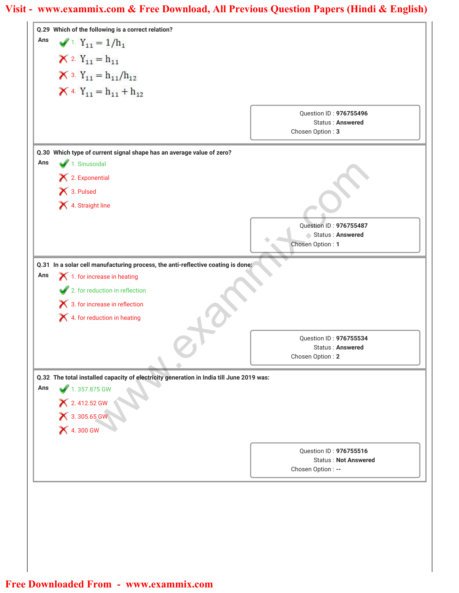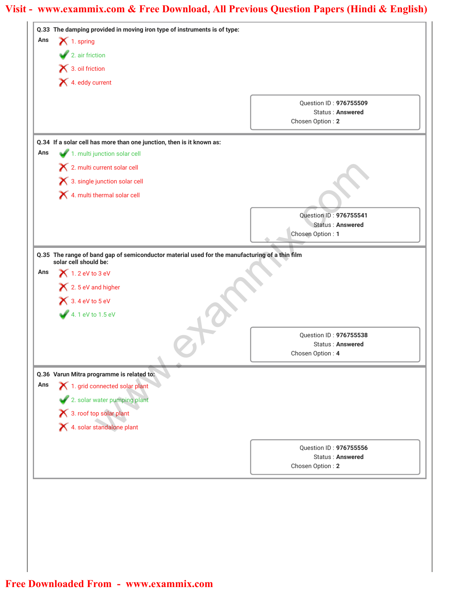|     | $\blacktriangleright$ 2. air friction<br>1 3. oil friction<br>4. eddy current |                                                                                                |
|-----|-------------------------------------------------------------------------------|------------------------------------------------------------------------------------------------|
|     |                                                                               |                                                                                                |
|     |                                                                               |                                                                                                |
|     |                                                                               |                                                                                                |
|     |                                                                               | Question ID: 976755509                                                                         |
|     |                                                                               | <b>Status: Answered</b>                                                                        |
|     |                                                                               | Chosen Option: 2                                                                               |
|     | Q.34 If a solar cell has more than one junction, then is it known as:         |                                                                                                |
| Ans | 1. multi junction solar cell                                                  |                                                                                                |
|     | 2. multi current solar cell                                                   |                                                                                                |
|     | X 3. single junction solar cell                                               |                                                                                                |
|     | 4. multi thermal solar cell                                                   |                                                                                                |
|     |                                                                               | Question ID: 976755541                                                                         |
|     |                                                                               | <b>Status: Answered</b>                                                                        |
|     |                                                                               | Chosen Option: 1                                                                               |
|     |                                                                               | Q.35 The range of band gap of semiconductor material used for the manufacturing of a thin film |
| Ans | solar cell should be:<br>$\bigtimes$ 1.2 eV to 3 eV                           |                                                                                                |
|     | 2.5 eV and higher                                                             |                                                                                                |
|     | $\bigtimes$ 3.4 eV to 5 eV                                                    |                                                                                                |
|     | 4.1 eV to 1.5 eV                                                              |                                                                                                |
|     |                                                                               |                                                                                                |
|     |                                                                               | Question ID: 976755538<br>Status: Answered                                                     |
|     |                                                                               | Chosen Option: 4                                                                               |
|     |                                                                               |                                                                                                |
| Ans | Q.36 Varun Mitra programme is related to:<br>X 1. grid connected solar plant  |                                                                                                |
|     | 2. solar water pumping plant                                                  |                                                                                                |
|     | X 3. roof top solar plant                                                     |                                                                                                |
|     | 4. solar standalone plant                                                     |                                                                                                |
|     |                                                                               |                                                                                                |
|     |                                                                               | Question ID: 976755556                                                                         |
|     |                                                                               | <b>Status: Answered</b><br>Chosen Option: 2                                                    |
|     |                                                                               |                                                                                                |
|     |                                                                               |                                                                                                |
|     |                                                                               |                                                                                                |
|     |                                                                               |                                                                                                |
|     |                                                                               |                                                                                                |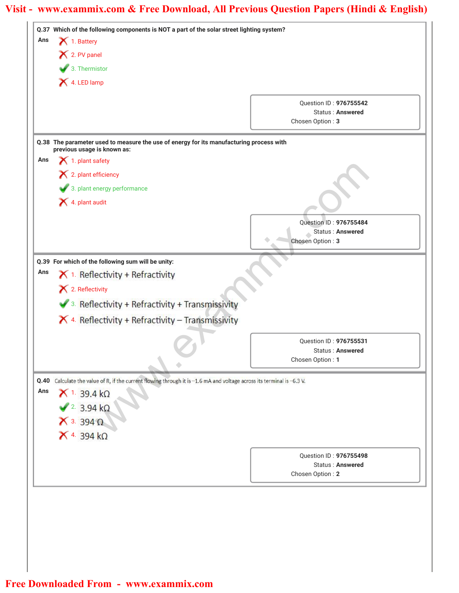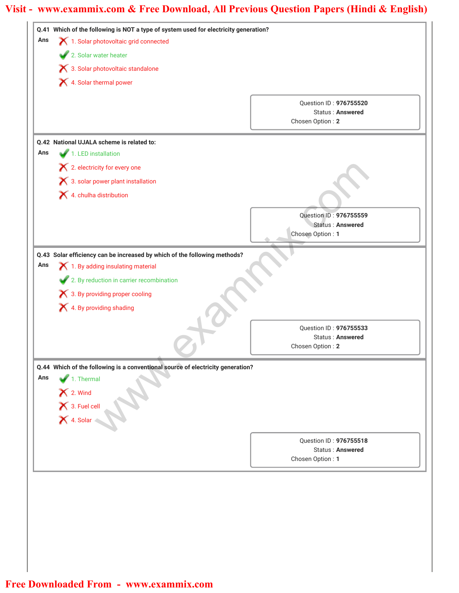| Ans | Q.41 Which of the following is NOT a type of system used for electricity generation?<br>1. Solar photovoltaic grid connected<br>2. Solar water heater<br>X 3. Solar photovoltaic standalone                                                      |                                                                       |  |
|-----|--------------------------------------------------------------------------------------------------------------------------------------------------------------------------------------------------------------------------------------------------|-----------------------------------------------------------------------|--|
|     |                                                                                                                                                                                                                                                  |                                                                       |  |
|     |                                                                                                                                                                                                                                                  |                                                                       |  |
|     | 4. Solar thermal power                                                                                                                                                                                                                           |                                                                       |  |
|     |                                                                                                                                                                                                                                                  | Question ID: 976755520<br><b>Status: Answered</b><br>Chosen Option: 2 |  |
|     | Q.42 National UJALA scheme is related to:                                                                                                                                                                                                        |                                                                       |  |
| Ans | 1. LED installation                                                                                                                                                                                                                              |                                                                       |  |
|     | X 2. electricity for every one                                                                                                                                                                                                                   |                                                                       |  |
|     | 8. solar power plant installation                                                                                                                                                                                                                |                                                                       |  |
|     | X 4. chulha distribution                                                                                                                                                                                                                         |                                                                       |  |
|     |                                                                                                                                                                                                                                                  | Question ID: 976755559                                                |  |
|     |                                                                                                                                                                                                                                                  | Status: Answered                                                      |  |
|     |                                                                                                                                                                                                                                                  | Chosen Option: 1                                                      |  |
| Ans | Q.43 Solar efficiency can be increased by which of the following methods?<br>$\blacktriangleright$ 1. By adding insulating material<br>2. By reduction in carrier recombination<br>X 3. By providing proper cooling<br>X 4. By providing shading |                                                                       |  |
|     |                                                                                                                                                                                                                                                  |                                                                       |  |
|     |                                                                                                                                                                                                                                                  | Question ID: 976755533                                                |  |
|     |                                                                                                                                                                                                                                                  | <b>Status: Answered</b><br>Chosen Option: 2                           |  |
| Ans | Q.44 Which of the following is a conventional source of electricity generation?<br>1. Thermal<br>X 2. Wind<br>X 3. Fuel cell<br>X 4. Solar                                                                                                       |                                                                       |  |
|     |                                                                                                                                                                                                                                                  | Question ID: 976755518                                                |  |
|     |                                                                                                                                                                                                                                                  |                                                                       |  |
|     |                                                                                                                                                                                                                                                  | <b>Status: Answered</b><br>Chosen Option: 1                           |  |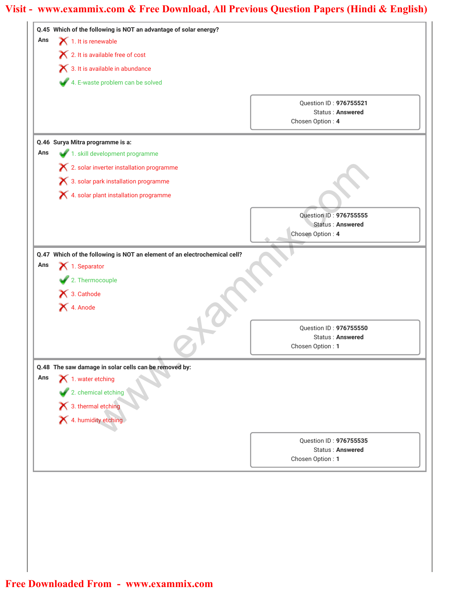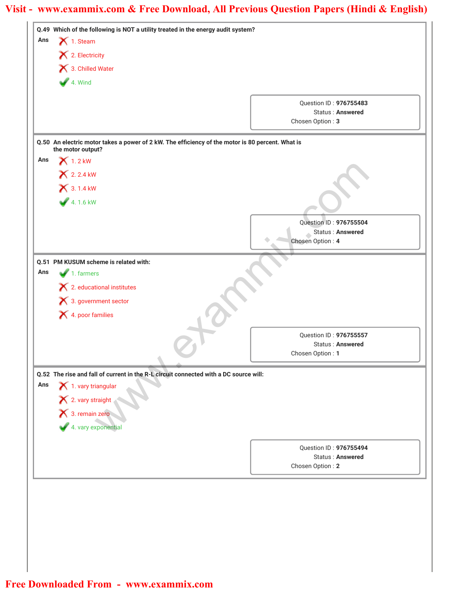| Ans | Q.49 Which of the following is NOT a utility treated in the energy audit system?<br>$\bigtimes$ 1. Steam<br>$\blacktriangleright$ 2. Electricity<br>3. Chilled Water |                                                   |  |
|-----|----------------------------------------------------------------------------------------------------------------------------------------------------------------------|---------------------------------------------------|--|
|     |                                                                                                                                                                      |                                                   |  |
|     |                                                                                                                                                                      |                                                   |  |
|     |                                                                                                                                                                      | $4.$ Wind                                         |  |
|     |                                                                                                                                                                      | Question ID: 976755483                            |  |
|     |                                                                                                                                                                      | <b>Status: Answered</b>                           |  |
|     |                                                                                                                                                                      | Chosen Option: 3                                  |  |
|     | Q.50 An electric motor takes a power of 2 kW. The efficiency of the motor is 80 percent. What is                                                                     |                                                   |  |
| Ans | the motor output?<br>$\bigtimes$ 1.2 kW                                                                                                                              |                                                   |  |
|     |                                                                                                                                                                      |                                                   |  |
|     | <b>X</b> 2.2.4 kW                                                                                                                                                    |                                                   |  |
|     | $X$ 3.1.4 kW                                                                                                                                                         |                                                   |  |
|     | $4.16 \text{ kW}$                                                                                                                                                    |                                                   |  |
|     |                                                                                                                                                                      | Question ID: 976755504                            |  |
|     |                                                                                                                                                                      | Status: Answered                                  |  |
|     |                                                                                                                                                                      | Chosen Option: 4                                  |  |
|     | Q.51 PM KUSUM scheme is related with:                                                                                                                                |                                                   |  |
| Ans | $\blacksquare$ 1. farmers                                                                                                                                            |                                                   |  |
|     | $\blacktriangleright$ 2. educational institutes                                                                                                                      |                                                   |  |
|     | × 3. government sector                                                                                                                                               |                                                   |  |
|     | X 4. poor families                                                                                                                                                   |                                                   |  |
|     |                                                                                                                                                                      |                                                   |  |
|     |                                                                                                                                                                      | Question ID: 976755557                            |  |
|     |                                                                                                                                                                      | Status: Answered<br>Chosen Option: 1              |  |
|     |                                                                                                                                                                      |                                                   |  |
|     | Q.52 The rise and fall of current in the R-L circuit connected with a DC source will:                                                                                |                                                   |  |
| Ans | $\blacktriangleright$ 1. vary triangular                                                                                                                             |                                                   |  |
|     | X 2. vary straight<br>X 3. remain zero                                                                                                                               |                                                   |  |
|     |                                                                                                                                                                      |                                                   |  |
|     | 4. vary exponential                                                                                                                                                  |                                                   |  |
|     |                                                                                                                                                                      |                                                   |  |
|     |                                                                                                                                                                      | Question ID: 976755494<br><b>Status: Answered</b> |  |
|     |                                                                                                                                                                      | Chosen Option: 2                                  |  |
|     |                                                                                                                                                                      |                                                   |  |
|     |                                                                                                                                                                      |                                                   |  |
|     |                                                                                                                                                                      |                                                   |  |
|     |                                                                                                                                                                      |                                                   |  |
|     |                                                                                                                                                                      |                                                   |  |
|     |                                                                                                                                                                      |                                                   |  |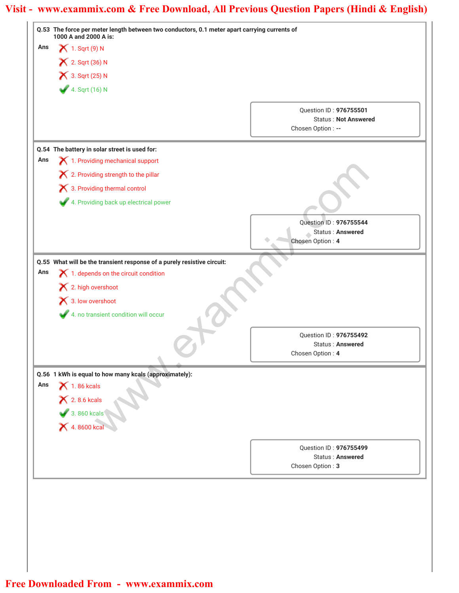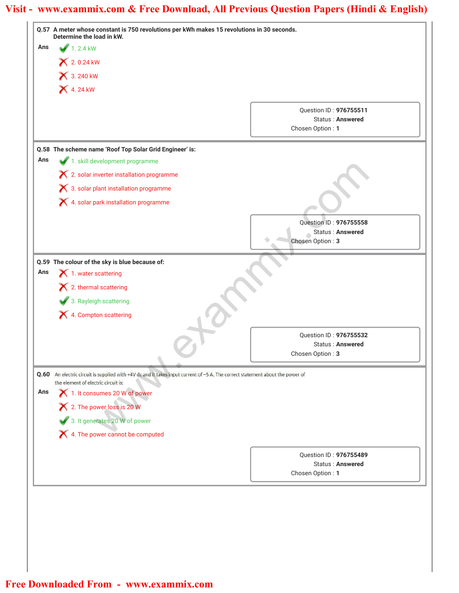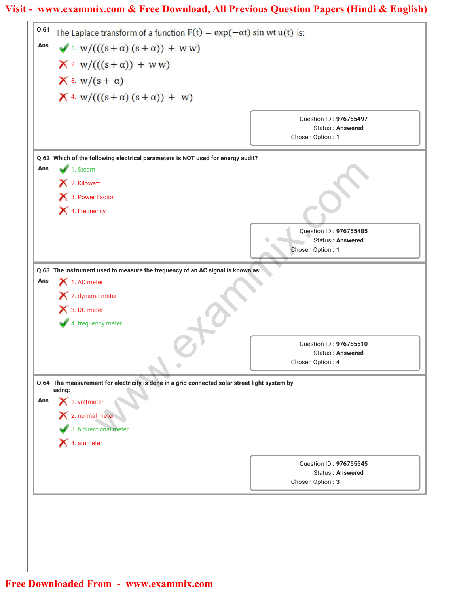| Q.61 | The Laplace transform of a function $F(t) = exp(-\alpha t) \sin wt u(t)$ is:                            |                                                   |
|------|---------------------------------------------------------------------------------------------------------|---------------------------------------------------|
| Ans  | $\sqrt{1}$ W/(((s+ $\alpha$ ) (s+ $\alpha$ )) + WW)                                                     |                                                   |
|      | $X^2$ W/(((s+ $\alpha$ )) + WW)                                                                         |                                                   |
|      | $\bigtimes$ 3. $w/(s + \alpha)$                                                                         |                                                   |
|      | $\mathsf{X}$ 4. w/(((s+ $\alpha$ )(s+ $\alpha$ )) + w)                                                  |                                                   |
|      |                                                                                                         |                                                   |
|      |                                                                                                         | Question ID: 976755497<br><b>Status: Answered</b> |
|      |                                                                                                         | Chosen Option: 1                                  |
|      | Q.62 Which of the following electrical parameters is NOT used for energy audit?                         |                                                   |
| Ans  | 1. Steam                                                                                                |                                                   |
|      | 2. Kilowatt                                                                                             |                                                   |
|      | 3. Power Factor                                                                                         |                                                   |
|      | X 4. Frequency                                                                                          |                                                   |
|      |                                                                                                         | Question ID: 976755485                            |
|      |                                                                                                         | Status: Answered<br>Chosen Option: 1              |
|      |                                                                                                         |                                                   |
| Ans  | Q.63 The instrument used to measure the frequency of an AC signal is known as:<br>1. AC meter           |                                                   |
|      | $\mathsf{\times}$ 2. dynamo meter                                                                       |                                                   |
|      | 1 3. DC meter                                                                                           |                                                   |
|      | 4. frequency meter                                                                                      |                                                   |
|      |                                                                                                         | Question ID: 976755510                            |
|      |                                                                                                         | <b>Status: Answered</b><br>Chosen Option: 4       |
|      |                                                                                                         |                                                   |
|      | Q.64 The measurement for electricity is done in a grid connected solar street light system by<br>using: |                                                   |
| Ans  | $\blacktriangleright$ 1. voltmeter                                                                      |                                                   |
|      | $\overline{X}$ 2. normal meter                                                                          |                                                   |
|      | 3. bidirectional meter                                                                                  |                                                   |
|      | X 4. ammeter                                                                                            |                                                   |
|      |                                                                                                         | Question ID: 976755545                            |
|      |                                                                                                         | <b>Status: Answered</b><br>Chosen Option: 3       |
|      |                                                                                                         |                                                   |
|      |                                                                                                         |                                                   |
|      |                                                                                                         |                                                   |
|      |                                                                                                         |                                                   |
|      |                                                                                                         |                                                   |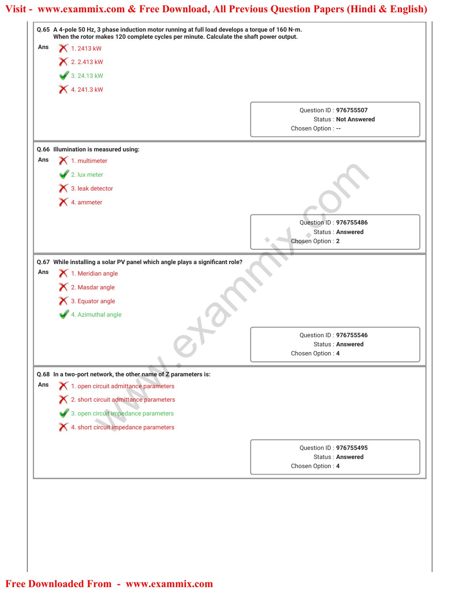| Ans |                                                                                                                                     |                                                   |  |
|-----|-------------------------------------------------------------------------------------------------------------------------------------|---------------------------------------------------|--|
|     | When the rotor makes 120 complete cycles per minute. Calculate the shaft power output.<br><b>X</b> 1.2413 kW<br><b>X</b> 2.2.413 kW |                                                   |  |
|     |                                                                                                                                     |                                                   |  |
|     | $3.24.13$ kW                                                                                                                        |                                                   |  |
|     | 4.241.3 kW                                                                                                                          |                                                   |  |
|     |                                                                                                                                     |                                                   |  |
|     |                                                                                                                                     | Question ID: 976755507                            |  |
|     |                                                                                                                                     | <b>Status: Not Answered</b><br>Chosen Option : -- |  |
|     |                                                                                                                                     |                                                   |  |
|     | Q.66 Illumination is measured using:                                                                                                |                                                   |  |
| Ans | $\blacktriangleright$ 1. multimeter                                                                                                 |                                                   |  |
|     | $\blacktriangleright$ 2. lux meter                                                                                                  |                                                   |  |
|     | $\blacktriangleright$ 3. leak detector                                                                                              |                                                   |  |
|     | X 4. ammeter                                                                                                                        |                                                   |  |
|     |                                                                                                                                     |                                                   |  |
|     |                                                                                                                                     | Question ID: 976755486<br>Status: Answered        |  |
|     |                                                                                                                                     | Chosen Option: 2                                  |  |
|     |                                                                                                                                     |                                                   |  |
| Ans | Q.67 While installing a solar PV panel which angle plays a significant role?<br>$\blacktriangleright$ 1. Meridian angle             |                                                   |  |
|     | X 2. Masdar angle                                                                                                                   |                                                   |  |
|     |                                                                                                                                     |                                                   |  |
|     | 1 3. Equator angle                                                                                                                  |                                                   |  |
|     | 4. Azimuthal angle                                                                                                                  |                                                   |  |
|     |                                                                                                                                     | Question ID: 976755546                            |  |
|     |                                                                                                                                     | Status: Answered                                  |  |
|     |                                                                                                                                     | Chosen Option: 4                                  |  |
|     | Q.68 In a two-port network, the other name of Z parameters is:                                                                      |                                                   |  |
| Ans | 1. open circuit admittance parameters                                                                                               |                                                   |  |
|     | X 2. short circuit admittance parameters                                                                                            |                                                   |  |
|     | 3. open circuit impedance parameters                                                                                                |                                                   |  |
|     | X 4. short circuit impedance parameters                                                                                             |                                                   |  |
|     |                                                                                                                                     |                                                   |  |
|     |                                                                                                                                     | Question ID: 976755495<br>Status: Answered        |  |
|     |                                                                                                                                     | Chosen Option: 4                                  |  |
|     |                                                                                                                                     |                                                   |  |
|     |                                                                                                                                     |                                                   |  |
|     |                                                                                                                                     |                                                   |  |
|     |                                                                                                                                     |                                                   |  |
|     |                                                                                                                                     |                                                   |  |
|     |                                                                                                                                     |                                                   |  |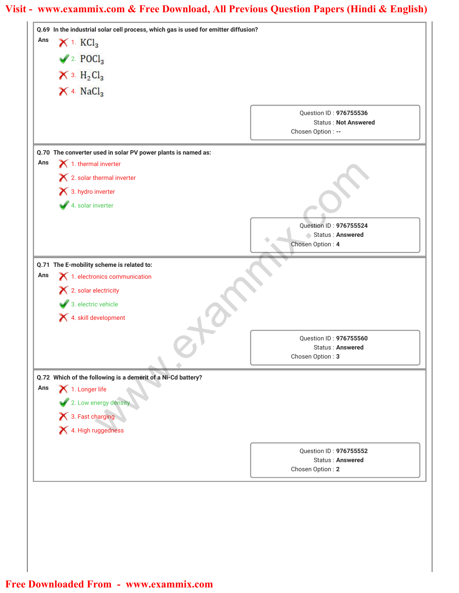| Ans | Q.69 In the industrial solar cell process, which gas is used for emitter diffusion?<br>$X$ 1. $KCl3$ |                                             |  |
|-----|------------------------------------------------------------------------------------------------------|---------------------------------------------|--|
|     |                                                                                                      |                                             |  |
|     | $\blacktriangleright$ 2. POCl <sub>3</sub>                                                           |                                             |  |
|     | $\times$ 3. $H_2Cl_3$                                                                                |                                             |  |
|     | $\times$ 4. NaCl <sub>3</sub>                                                                        |                                             |  |
|     |                                                                                                      | Question ID: 976755536                      |  |
|     |                                                                                                      | <b>Status: Not Answered</b>                 |  |
|     |                                                                                                      | Chosen Option: --                           |  |
|     | Q.70 The converter used in solar PV power plants is named as:                                        |                                             |  |
| Ans | $\blacktriangleright$ 1. thermal inverter                                                            |                                             |  |
|     | $\blacktriangleright$ 2. solar thermal inverter                                                      |                                             |  |
|     | 3. hydro inverter                                                                                    |                                             |  |
|     | 4. solar inverter                                                                                    |                                             |  |
|     |                                                                                                      | Question ID: 976755524                      |  |
|     |                                                                                                      | Status: Answered<br>Chosen Option: 4        |  |
|     |                                                                                                      |                                             |  |
|     | Q.71 The E-mobility scheme is related to:                                                            |                                             |  |
| Ans | $\boldsymbol{\times}$ 1. electronics communication                                                   |                                             |  |
|     | $\blacktriangleright$ 2. solar electricity                                                           |                                             |  |
|     | 3. electric vehicle<br>4. skill development                                                          |                                             |  |
|     |                                                                                                      |                                             |  |
|     |                                                                                                      | Question ID: 976755560                      |  |
|     |                                                                                                      | <b>Status: Answered</b><br>Chosen Option: 3 |  |
|     |                                                                                                      |                                             |  |
| Ans | Q.72 Which of the following is a demerit of a Ni-Cd battery?<br>$\blacktriangleright$ 1. Longer life |                                             |  |
|     | 2. Low energy density                                                                                |                                             |  |
|     | 3. Fast charging                                                                                     |                                             |  |
|     | 4. High ruggedness                                                                                   |                                             |  |
|     |                                                                                                      |                                             |  |
|     |                                                                                                      | Question ID: 976755552                      |  |
|     |                                                                                                      | <b>Status: Answered</b><br>Chosen Option: 2 |  |
|     |                                                                                                      |                                             |  |
|     |                                                                                                      |                                             |  |
|     |                                                                                                      |                                             |  |
|     |                                                                                                      |                                             |  |
|     |                                                                                                      |                                             |  |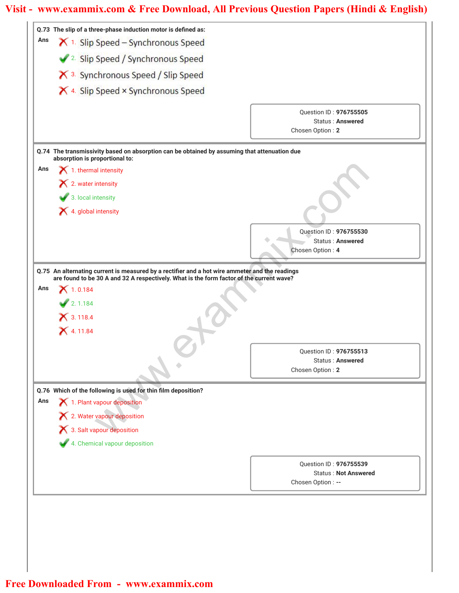